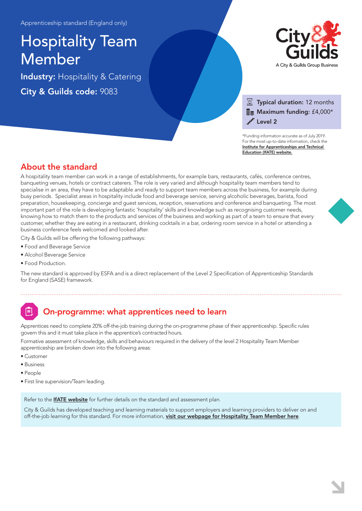# Hospitality Team Member

Industry: Hospitality & Catering City & Guilds code: 9083



### $\overline{\mathbb{X}}$  Typical duration: 12 months  $\Xi$  Maximum funding: £4,000\* Level 2

\*Funding information accurate as of July 2019. For the most up-to-date information, check the [Institute for Apprenticeships and Technical](https://www.instituteforapprenticeships.org/apprenticeship-standards/hospitality-team-member/)  Education (IfATE) website.

### About the standard

A hospitality team member can work in a range of establishments, for example bars, restaurants, cafés, conference centres, banqueting venues, hotels or contract caterers. The role is very varied and although hospitality team members tend to specialise in an area, they have to be adaptable and ready to support team members across the business, for example during busy periods. Specialist areas in hospitality include food and beverage service, serving alcoholic beverages, barista, food preparation, housekeeping, concierge and guest services, reception, reservations and conference and banqueting. The most important part of the role is developing fantastic 'hospitality' skills and knowledge such as recognising customer needs, knowing how to match them to the products and services of the business and working as part of a team to ensure that every customer, whether they are eating in a restaurant, drinking cocktails in a bar, ordering room service in a hotel or attending a business conference feels welcomed and looked after.

City & Guilds will be offering the following pathways:

- Food and Beverage Service
- Alcohol Beverage Service
- Food Production.

The new standard is approved by ESFA and is a direct replacement of the Level 2 Specification of Apprenticeship Standards for England (SASE) framework.

# On-programme: what apprentices need to learn

Apprentices need to complete 20% off-the-job training during the on-programme phase of their apprenticeship. Specific rules govern this and it must take place in the apprentice's contracted hours.

Formative assessment of knowledge, skills and behaviours required in the delivery of the level 2 Hospitality Team Member apprenticeship are broken down into the following areas:

- Customer
- Business
- People
- First line supervision/Team leading.

Refer to the **[IfATE website](https://www.instituteforapprenticeships.org/apprenticeship-standards/hospitality-team-member/)** for further details on the standard and assessment plan.

City & Guilds has developed teaching and learning materials to support employers and learning providers to deliver on and off-the-job learning for this standard. For more information, [visit our webpage for Hospitality Team Member here](https://www.cityandguilds.com/qualifications-and-apprenticeships/hospitality-and-catering/hospitality-and-catering/9083-hospitality-team-member#tab=information).

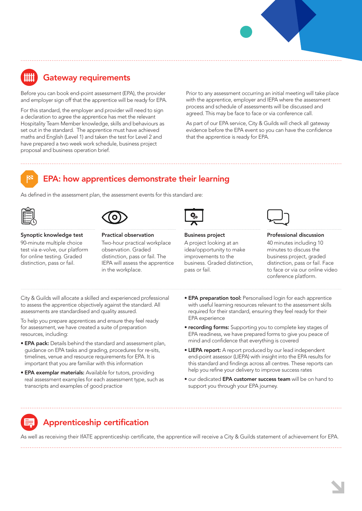## Gateway requirements

Before you can book end-point assessment (EPA), the provider and employer sign off that the apprentice will be ready for EPA.

For this standard, the employer and provider will need to sign a declaration to agree the apprentice has met the relevant Hospitality Team Member knowledge, skills and behaviours as set out in the standard. The apprentice must have achieved maths and English (Level 1) and taken the test for Level 2 and have prepared a two week work schedule, business project proposal and business operation brief.

Prior to any assessment occurring an initial meeting will take place with the apprentice, employer and IEPA where the assessment process and schedule of assessments will be discussed and agreed. This may be face to face or via conference call.

As part of our EPA service, City & Guilds will check all gateway evidence before the EPA event so you can have the confidence that the apprentice is ready for EPA.



### EPA: how apprentices demonstrate their learning

As defined in the assessment plan, the assessment events for this standard are:





#### Synoptic knowledge test 90-minute multiple choice test via e-volve, our platform for online testing. Graded

distinction, pass or fail.

Two-hour practical workplace observation. Graded distinction, pass or fail. The IEPA will assess the apprentice in the workplace.

Practical observation

Business project A project looking at an

idea/opportunity to make improvements to the business. Graded distinction, pass or fail.



#### Professional discussion

40 minutes including 10 minutes to discuss the business project, graded distinction, pass or fail. Face to face or via our online video conference platform.

City & Guilds will allocate a skilled and experienced professional to assess the apprentice objectively against the standard. All assessments are standardised and quality assured.

To help you prepare apprentices and ensure they feel ready for assessment, we have created a suite of preparation resources, including:

- EPA pack: Details behind the standard and assessment plan, guidance on EPA tasks and grading, procedures for re-sits, timelines, venue and resource requirements for EPA. It is important that you are familiar with this information
- EPA exemplar materials: Available for tutors, providing real assessment examples for each assessment type, such as transcripts and examples of good practice
- **EPA preparation tool:** Personalised login for each apprentice with useful learning resources relevant to the assessment skills required for their standard, ensuring they feel ready for their EPA experience
- recording forms: Supporting you to complete key stages of EPA readiness, we have prepared forms to give you peace of mind and confidence that everything is covered
- LIEPA report: A report produced by our lead independent end-point assessor (LIEPA) with insight into the EPA results for this standard and findings across all centres. These reports can help you refine your delivery to improve success rates
- **•** our dedicated EPA customer success team will be on hand to support you through your EPA journey.

### Apprenticeship certification

As well as receiving their IfATE apprenticeship certificate, the apprentice will receive a City & Guilds statement of achievement for EPA.